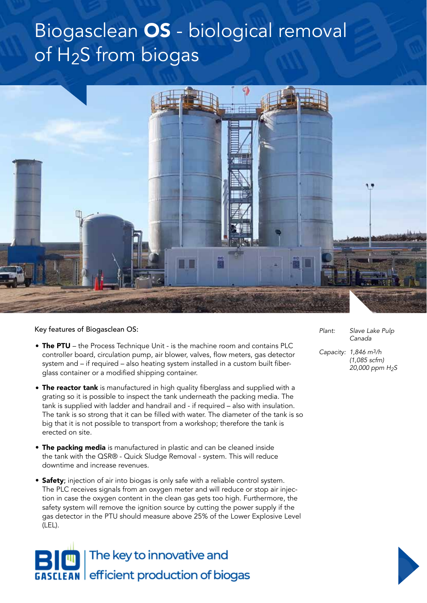## Biogasclean OS - biological removal of H2S from biogas



Key features of Biogasclean OS:

- The PTU the Process Technique Unit is the machine room and contains PLC controller board, circulation pump, air blower, valves, flow meters, gas detector system and – if required – also heating system installed in a custom built fiberglass container or a modified shipping container.
- The reactor tank is manufactured in high quality fiberglass and supplied with a grating so it is possible to inspect the tank underneath the packing media. The tank is supplied with ladder and handrail and - if required – also with insulation. The tank is so strong that it can be filled with water. The diameter of the tank is so big that it is not possible to transport from a workshop; therefore the tank is erected on site.
- The packing media is manufactured in plastic and can be cleaned inside the tank with the QSR® - Quick Sludge Removal - system. This will reduce downtime and increase revenues.
- **Safety**; injection of air into biogas is only safe with a reliable control system. The PLC receives signals from an oxygen meter and will reduce or stop air injection in case the oxygen content in the clean gas gets too high. Furthermore, the safety system will remove the ignition source by cutting the power supply if the gas detector in the PTU should measure above 25% of the Lower Explosive Level (LEL).



*Plant: Slave Lake Pulp Canada*

*Capacity: 1,846 m3/h (1,085 scfm) 20,000 ppm H2S*